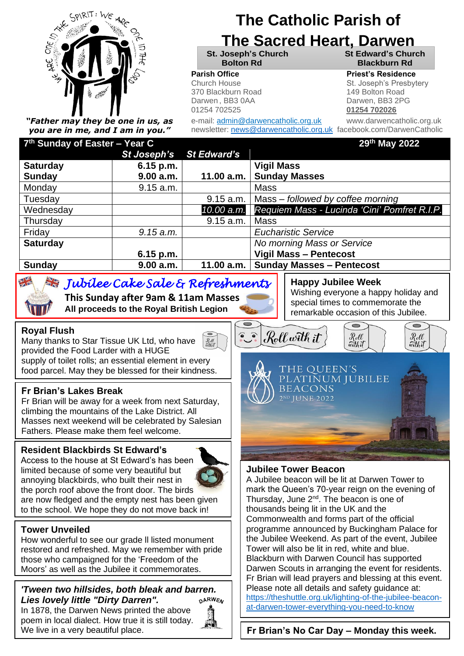

*"Father may they be one in us, as you are in me, and I am in you."*

# **The Catholic Parish of**

# **The Sacred Heart, Darwen**

**St. Joseph's Church St Edward's Church**

370 Blackburn Road 149 Bolton Road Darwen, BB3 0AA Darwen, BB3 2PG 01254 702525 **01254 702026**

**Bolton Rd Blackburn Rd Parish Office Parish Office Priest's Residence** 

**Parish Priest Franch House St. Joseph's Presbytery** 

e-mail: admin@darwencatholic.org.uk www.darwencatholic.org.uk newsletter: [news@darwencatholic.org.uk](mailto:news@darwencatholic.org.uk) facebook.com/DarwenCatholic

**th May 2022**

| 7 <sup>th</sup> Sunday of Easter – Year C |             |                    | 29th May 2022                                |
|-------------------------------------------|-------------|--------------------|----------------------------------------------|
|                                           | St Joseph's | <b>St Edward's</b> |                                              |
| <b>Saturday</b>                           | $6.15$ p.m. |                    | <b>Vigil Mass</b>                            |
| <b>Sunday</b>                             | 9.00 a.m.   | 11.00 a.m.         | <b>Sunday Masses</b>                         |
| Monday                                    | 9.15 a.m.   |                    | Mass                                         |
| Tuesday                                   |             | 9.15 a.m.          | Mass – followed by coffee morning            |
| Wednesday                                 |             | 10.00 a.m.         | Requiem Mass - Lucinda 'Cini' Pomfret R.I.P. |
| Thursday                                  |             | 9.15 a.m.          | <b>Mass</b>                                  |
| Friday                                    | 9.15 a.m.   |                    | <b>Eucharistic Service</b>                   |
| <b>Saturday</b>                           |             |                    | No morning Mass or Service                   |
|                                           | $6.15$ p.m. |                    | <b>Vigil Mass - Pentecost</b>                |
| <b>Sunday</b>                             | 9.00 a.m.   | 11.00 a.m.         | <b>Sunday Masses - Pentecost</b>             |

 $\bullet$   $\bullet$ 

## *Jubilee Cake Sale & Refreshments*

 **This Sunday after 9am & 11am Masses All proceeds to the Royal British Legion**

#### **Royal Flush**

 $7<sup>th</sup>$   $0<sup>th</sup>$   $1<sup>th</sup>$ 

Many thanks to Star Tissue UK Ltd, who have  $\mathcal{R}_{\text{eff}}^{\ell\ell}$ provided the Food Larder with a HUGE supply of toilet rolls; an essential element in every

food parcel. May they be blessed for their kindness.

#### **Fr Brian's Lakes Break**

Fr Brian will be away for a week from next Saturday, climbing the mountains of the Lake District. All Masses next weekend will be celebrated by Salesian Fathers. Please make them feel welcome.

#### **Resident Blackbirds St Edward's**

Access to the house at St Edward's has been limited because of some very beautiful but annoying blackbirds, who built their nest in the porch roof above the front door. The birds are now fledged and the empty nest has been given to the school. We hope they do not move back in!



How wonderful to see our grade ll listed monument restored and refreshed. May we remember with pride those who campaigned for the 'Freedom of the Moors' as well as the Jubilee it commemorates.

#### *'Tween two hillsides, both bleak and barren. Lies lovely little "Dirty Darren".*  **DARWEN**

In 1878, the Darwen News printed the above poem in local dialect. How true it is still today. We live in a very beautiful place.



### **Happy Jubilee Week**

Wishing everyone a happy holiday and special times to commemorate the remarkable occasion of this Jubilee.

Rell<br>with it

 $\overline{\phantom{0}}$ 

Rell<br>with it

Roll with it

THE OUEEN'S

**BEACONS** 2ND JUNE 2022

PLATINUM JUBILEE

#### **Jubilee Tower Beacon**

A Jubilee beacon will be lit at Darwen Tower to mark the Queen's 70-year reign on the evening of Thursday, June 2<sup>nd</sup>. The beacon is one of thousands being lit in the UK and the Commonwealth and forms part of the official programme announced by Buckingham Palace for the Jubilee Weekend. As part of the event, Jubilee Tower will also be lit in red, white and blue. Blackburn with Darwen Council has supported Darwen Scouts in arranging the event for residents. Fr Brian will lead prayers and blessing at this event. Please note all details and safety quidance at: [https://theshuttle.org.uk/lighting-of-the-jubilee-beacon](https://theshuttle.org.uk/lighting-of-the-jubilee-beacon-at-darwen-tower-everything-you-need-to-know)[at-darwen-tower-everything-you-need-to-know](https://theshuttle.org.uk/lighting-of-the-jubilee-beacon-at-darwen-tower-everything-you-need-to-know)

**Fr Brian's No Car Day – Monday this week.**